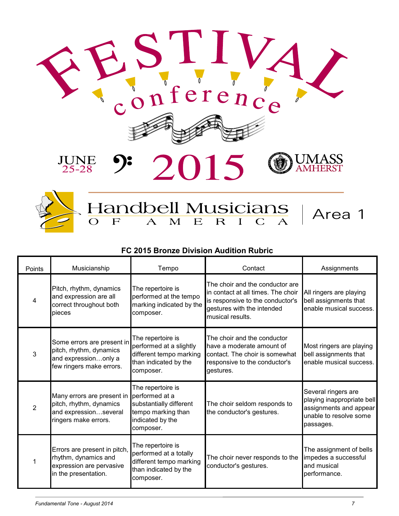



## Handbell Musicians

## **FC 2015 Bronze Division Audition Rubric**

| Points         | Musicianship                                                                                              | Tempo                                                                                                                 | Contact                                                                                                                                                     | Assignments                                                                                                        |
|----------------|-----------------------------------------------------------------------------------------------------------|-----------------------------------------------------------------------------------------------------------------------|-------------------------------------------------------------------------------------------------------------------------------------------------------------|--------------------------------------------------------------------------------------------------------------------|
| $\overline{4}$ | Pitch, rhythm, dynamics<br>and expression are all<br>correct throughout both<br>lpieces                   | The repertoire is<br>performed at the tempo<br>marking indicated by the<br>composer.                                  | The choir and the conductor are<br>in contact at all times. The choir<br>is responsive to the conductor's<br>gestures with the intended<br>musical results. | All ringers are playing<br>bell assignments that<br>enable musical success.                                        |
| $\mathbf{3}$   | Some errors are present in<br>pitch, rhythm, dynamics<br>and expressiononly a<br>few ringers make errors. | The repertoire is<br>performed at a slightly<br>different tempo marking<br>than indicated by the<br>composer.         | The choir and the conductor<br>have a moderate amount of<br>contact. The choir is somewhat<br>responsive to the conductor's<br>gestures.                    | Most ringers are playing<br>bell assignments that<br>enable musical success.                                       |
| $\overline{2}$ | Many errors are present in<br>pitch, rhythm, dynamics<br>and expressionseveral<br>ringers make errors.    | The repertoire is<br>performed at a<br>substantially different<br>tempo marking than<br>indicated by the<br>composer. | The choir seldom responds to<br>the conductor's gestures.                                                                                                   | Several ringers are<br>playing inappropriate bell<br>assignments and appear<br>unable to resolve some<br>passages. |
|                | Errors are present in pitch,<br>rhythm, dynamics and<br>expression are pervasive<br>in the presentation.  | The repertoire is<br>performed at a totally<br>different tempo marking<br>than indicated by the<br>composer.          | The choir never responds to the<br>conductor's gestures.                                                                                                    | The assignment of bells<br>impedes a successful<br>and musical<br>performance.                                     |

Area 1